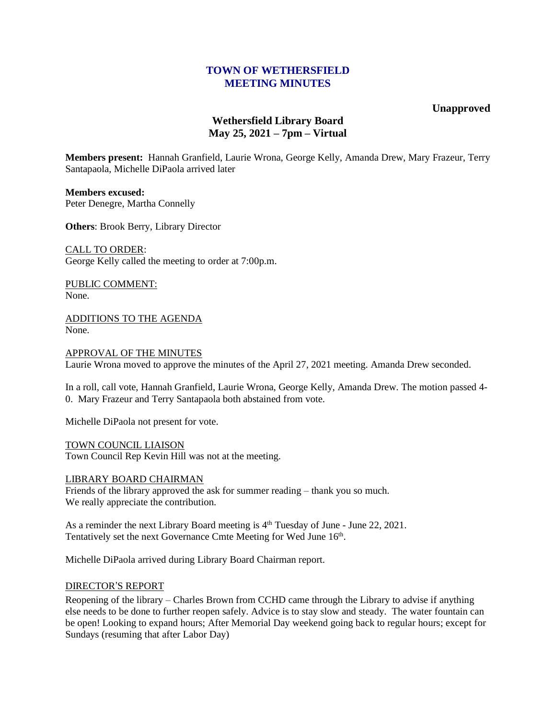## **TOWN OF WETHERSFIELD MEETING MINUTES**

## **Unapproved**

# **Wethersfield Library Board May 25, 2021 – 7pm – Virtual**

**Members present:** Hannah Granfield, Laurie Wrona, George Kelly, Amanda Drew, Mary Frazeur, Terry Santapaola, Michelle DiPaola arrived later

**Members excused:** Peter Denegre, Martha Connelly

**Others**: Brook Berry, Library Director

CALL TO ORDER: George Kelly called the meeting to order at 7:00p.m.

PUBLIC COMMENT: None.

ADDITIONS TO THE AGENDA None.

APPROVAL OF THE MINUTES

Laurie Wrona moved to approve the minutes of the April 27, 2021 meeting. Amanda Drew seconded.

In a roll, call vote, Hannah Granfield, Laurie Wrona, George Kelly, Amanda Drew. The motion passed 4- 0. Mary Frazeur and Terry Santapaola both abstained from vote.

Michelle DiPaola not present for vote.

TOWN COUNCIL LIAISON Town Council Rep Kevin Hill was not at the meeting.

### LIBRARY BOARD CHAIRMAN

Friends of the library approved the ask for summer reading – thank you so much. We really appreciate the contribution.

As a reminder the next Library Board meeting is  $4<sup>th</sup>$  Tuesday of June - June 22, 2021. Tentatively set the next Governance Cmte Meeting for Wed June 16<sup>th</sup>.

Michelle DiPaola arrived during Library Board Chairman report.

### DIRECTOR'S REPORT

Reopening of the library – Charles Brown from CCHD came through the Library to advise if anything else needs to be done to further reopen safely. Advice is to stay slow and steady. The water fountain can be open! Looking to expand hours; After Memorial Day weekend going back to regular hours; except for Sundays (resuming that after Labor Day)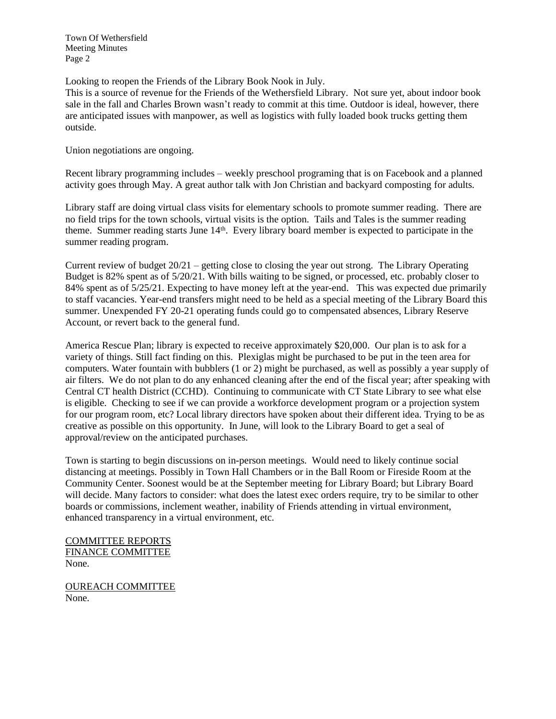Town Of Wethersfield Meeting Minutes Page 2

Looking to reopen the Friends of the Library Book Nook in July.

This is a source of revenue for the Friends of the Wethersfield Library. Not sure yet, about indoor book sale in the fall and Charles Brown wasn't ready to commit at this time. Outdoor is ideal, however, there are anticipated issues with manpower, as well as logistics with fully loaded book trucks getting them outside.

Union negotiations are ongoing.

Recent library programming includes – weekly preschool programing that is on Facebook and a planned activity goes through May. A great author talk with Jon Christian and backyard composting for adults.

Library staff are doing virtual class visits for elementary schools to promote summer reading. There are no field trips for the town schools, virtual visits is the option. Tails and Tales is the summer reading theme. Summer reading starts June 14<sup>th</sup>. Every library board member is expected to participate in the summer reading program.

Current review of budget 20/21 – getting close to closing the year out strong. The Library Operating Budget is 82% spent as of 5/20/21. With bills waiting to be signed, or processed, etc. probably closer to 84% spent as of 5/25/21. Expecting to have money left at the year-end. This was expected due primarily to staff vacancies. Year-end transfers might need to be held as a special meeting of the Library Board this summer. Unexpended FY 20-21 operating funds could go to compensated absences, Library Reserve Account, or revert back to the general fund.

America Rescue Plan; library is expected to receive approximately \$20,000. Our plan is to ask for a variety of things. Still fact finding on this. Plexiglas might be purchased to be put in the teen area for computers. Water fountain with bubblers (1 or 2) might be purchased, as well as possibly a year supply of air filters. We do not plan to do any enhanced cleaning after the end of the fiscal year; after speaking with Central CT health District (CCHD). Continuing to communicate with CT State Library to see what else is eligible. Checking to see if we can provide a workforce development program or a projection system for our program room, etc? Local library directors have spoken about their different idea. Trying to be as creative as possible on this opportunity. In June, will look to the Library Board to get a seal of approval/review on the anticipated purchases.

Town is starting to begin discussions on in-person meetings. Would need to likely continue social distancing at meetings. Possibly in Town Hall Chambers or in the Ball Room or Fireside Room at the Community Center. Soonest would be at the September meeting for Library Board; but Library Board will decide. Many factors to consider: what does the latest exec orders require, try to be similar to other boards or commissions, inclement weather, inability of Friends attending in virtual environment, enhanced transparency in a virtual environment, etc.

COMMITTEE REPORTS FINANCE COMMITTEE None.

OUREACH COMMITTEE None.